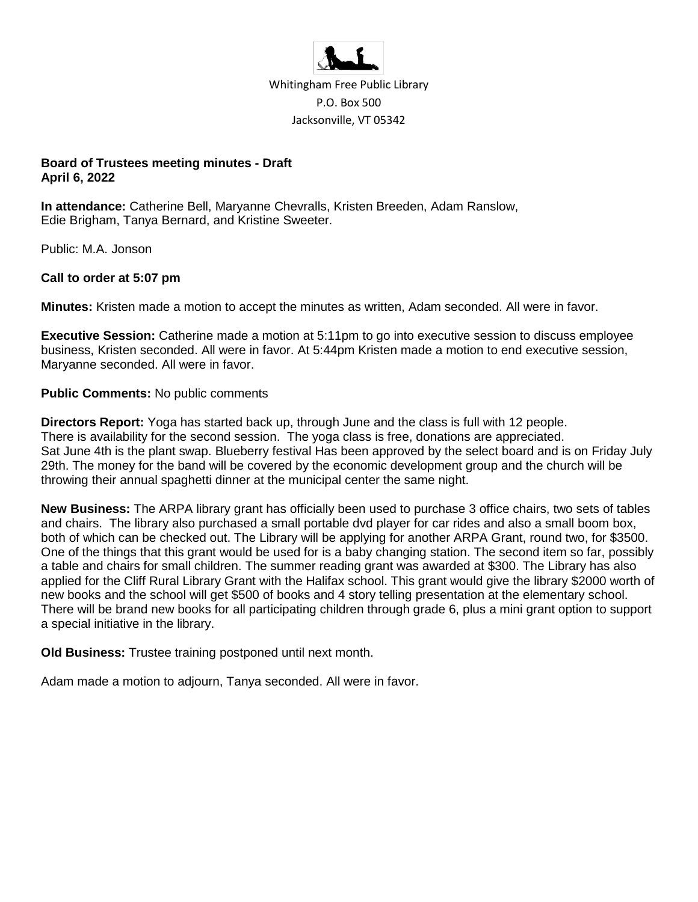

Whitingham Free Public Library P.O. Box 500 Jacksonville, VT 05342

## **Board of Trustees meeting minutes - Draft April 6, 2022**

**In attendance:** Catherine Bell, Maryanne Chevralls, Kristen Breeden, Adam Ranslow, Edie Brigham, Tanya Bernard, and Kristine Sweeter.

Public: M.A. Jonson

## **Call to order at 5:07 pm**

**Minutes:** Kristen made a motion to accept the minutes as written, Adam seconded. All were in favor.

**Executive Session:** Catherine made a motion at 5:11pm to go into executive session to discuss employee business, Kristen seconded. All were in favor. At 5:44pm Kristen made a motion to end executive session, Maryanne seconded. All were in favor.

#### **Public Comments:** No public comments

**Directors Report:** Yoga has started back up, through June and the class is full with 12 people. There is availability for the second session. The yoga class is free, donations are appreciated. Sat June 4th is the plant swap. Blueberry festival Has been approved by the select board and is on Friday July 29th. The money for the band will be covered by the economic development group and the church will be throwing their annual spaghetti dinner at the municipal center the same night.

**New Business:** The ARPA library grant has officially been used to purchase 3 office chairs, two sets of tables and chairs. The library also purchased a small portable dvd player for car rides and also a small boom box, both of which can be checked out. The Library will be applying for another ARPA Grant, round two, for \$3500. One of the things that this grant would be used for is a baby changing station. The second item so far, possibly a table and chairs for small children. The summer reading grant was awarded at \$300. The Library has also applied for the Cliff Rural Library Grant with the Halifax school. This grant would give the library \$2000 worth of new books and the school will get \$500 of books and 4 story telling presentation at the elementary school. There will be brand new books for all participating children through grade 6, plus a mini grant option to support a special initiative in the library.

**Old Business:** Trustee training postponed until next month.

Adam made a motion to adjourn, Tanya seconded. All were in favor.